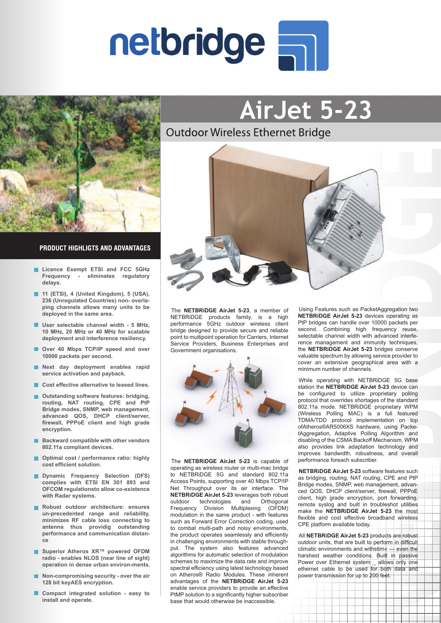



### **PRODUCT HIGHLIGTS AND ADVANTAGES**

- **Licence Exempt ETSI and FCC 5GHz Frequency - eliminates regulatory delays.**
- **11 (ETSI), 4 (United Kingdom), 5 (USA), 236 (Unregulated Countries) non- overlaping channels allows many units to be deployed in the same area.**
- **User selectable channel width 5 MHz,**   $\blacksquare$ **10 MHz, 20 MHz or 40 MHz for scalable deployment and interference resiliency.**
- **Over 40 Mbps TCP/IP speed and over 10000 packets per second.**
- ш **Next day deployment enables rapid service activation and payback.**
- Cost effective alternative to leased lines.
- **Outstanding software features: bridging, routing, NAT routing, CPE and PtP Bridge modes, SNMP, web management, advanced QOS, DHCP client/server, firewall, PPPoE client and high grade encryption.**
- **Backward compatible with other vendors 802.11a compliant devices.**
- **Optimal cost / performance ratio: highly**  ▬ **cost efficient solution.**
- **Dynamic Frequency Selection (DFS) complies with ETSI EN 301 893 and OFCOM regulationsto allow co-existence with Radar systems.**
- **Robust outdoor architecture: ensures un-precedented range and reliability, minimizes RF cable loss connecting to antenna thus providig outstanding performance and communication distance**
- Superior Atheros XR<sup>™</sup> powered OFDM **radio - enables NLOS (near line of sight) operation in dense urban environ-ments.**
- **Non-compromising security over the air**   $\blacksquare$ **128 bit keyAES encryption.**
- ш **Compact integrated solution - easy to install and operate.**



**AirJet 5-23**

The **NETBRiDGE AirJet 5-23**, a member of NETBRiDGE products family, is a high performance 5GHz outdoor wireless client bridge designed to provide secure and reliable point to multipoint operation for Carriers, Internet Service Providers, Business Enterprises and Government organisations.



The **NETBRiDGE AirJet 5-23** is capable of operating as wireless router or multi-mac bridge to NETBRiDGE 5G and standard 802.11a Access Points, supporting over 40 Mbps TCP/IP Net Throughput over its air interface. The **NETBRiDGE AirJet 5-23** leverages both robust outdoor technologies and Orthogonal Frequency Division Multiplexing (OFDM) modulation in the same product - with features such as Forward Error Correction coding, used to combat multi-path and noisy environments, the product operates seamlessly and efficiently in challenging environments with stable throughput. The system also features advanced algorithms for automatic selection of modulation schemes to maximize the data rate and improve spectral efficiency using latest technology based on Atheros® Radio Modules. These inherent advantages of the **NETBRiDGE AirJet 5-23** enable service providers to provide an effective PtMP solution to a significantly higher subscriber base that would otherwise be inaccessible.

Using Features such as PacketAggregation two **NETBRiDGE AirJet 5-23** devices operating as PtP bridges can handle over 10000 packets per second. Combining high frequency reuse, selectable channel width with advanced interference management and immunity techniques, the **NETBRiDGE AirJet 5-23** bridges conserve valuable spectrum by allowing service provider to cover an extensive geographical area with a minimum number of channels.

While operating with NETBRiDGE 5G base station the **NETBRiDGE AirJet 5-23** device can be configured to utilize proprietary polling protocol that overrides shortages of the standard 802.11a mode. NETBRiDGE proprietary WPM (Wireless Polling MAC) is a full featured TDMA/TDD protocol implementation on top ofAtheros®AR5006XS hardware, using PacketAggregation, Adaptive Polling Algorithm and disabling of the CSMA Backoff Mechanism. WPM also provides link adaptation technology and improves bandwidth, robustness, and overall performance foreach subscriber.

**NETBRiDGE AirJet 5-23** software features such as bridging, routing, NAT routing, CPE and PtP Bridge modes, SNMP, web management, advanced QOS, DHCP client/server, firewall, PPPoE client, high grade encryption, port forwarding, remote syslog and built in troubleshot utilities make the **NETBRiDGE AirJet 5-23** the most flexible and cost effective broadband wireless CPE platform available today.

All **NETBRiDGE AirJet 5-23** products are robust outdoor units, that are built to perform in difficult climatic environments and withstim« — even the harshest weather conditions. Built in passive Power over Ethernet system \_ allows only one ethernet cable to be used for both data and power transmission for up to 200 feet.